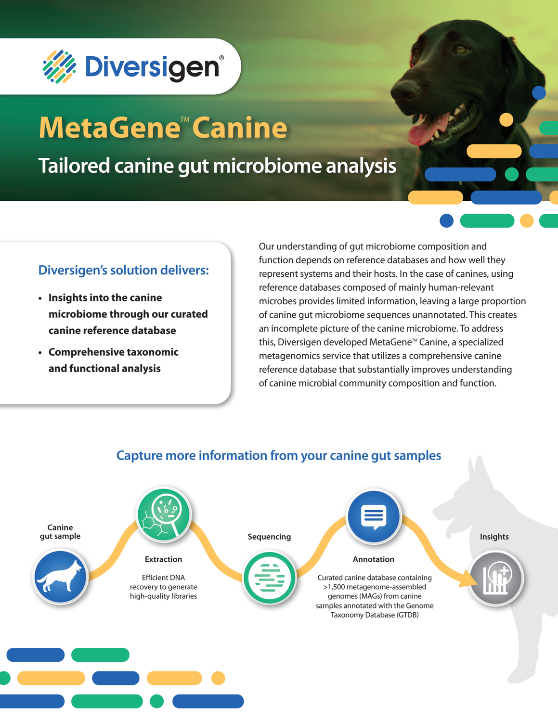

# **MetaGene<sup>™</sup> Canine**

**Tailored canine gut microbiome analysis** 

## **Diversigen's solution delivers:**

- **• Insights into the canine microbiome through our curated canine reference database**
- **• Comprehensive taxonomic and functional analysis**

Our understanding of gut microbiome composition and function depends on reference databases and how well they represent systems and their hosts. In the case of canines, using reference databases composed of mainly human-relevant microbes provides limited information, leaving a large proportion of canine gut microbiome sequences unannotated. This creates an incomplete picture of the canine microbiome. To address this, Diversigen developed MetaGene™ Canine, a specialized metagenomics service that utilizes a comprehensive canine reference database that substantially improves understanding of canine microbial community composition and function.



## **Capture more information from your canine gut samples**